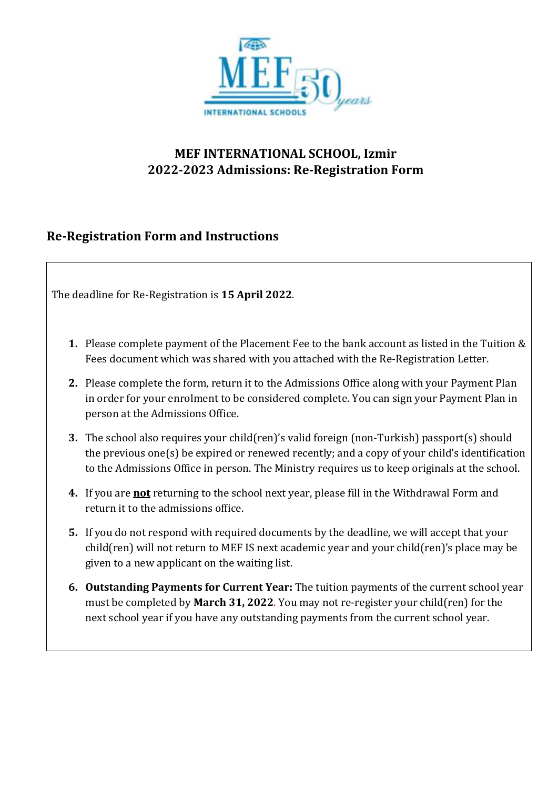

# **Re-Registration Form and Instructions**

The deadline for Re-Registration is **15 April 2022**.

- **1.** Please complete payment of the Placement Fee to the bank account as listed in the Tuition & Fees document which was shared with you attached with the Re-Registration Letter.
- **2.** Please complete the form, return it to the Admissions Office along with your Payment Plan in order for your enrolment to be considered complete. You can sign your Payment Plan in person at the Admissions Office.
- **3.** The school also requires your child(ren)'s valid foreign (non-Turkish) passport(s) should the previous one(s) be expired or renewed recently; and a copy of your child's identification to the Admissions Office in person. The Ministry requires us to keep originals at the school.
- **4.** If you are **not** returning to the school next year, please fill in the Withdrawal Form and return it to the admissions office.
- **5.** If you do not respond with required documents by the deadline, we will accept that your child(ren) will not return to MEF IS next academic year and your child(ren)'s place may be given to a new applicant on the waiting list.
- **6. Outstanding Payments for Current Year:** The tuition payments of the current school year must be completed by **March 31, 2022**. You may not re-register your child(ren) for the next school year if you have any outstanding payments from the current school year.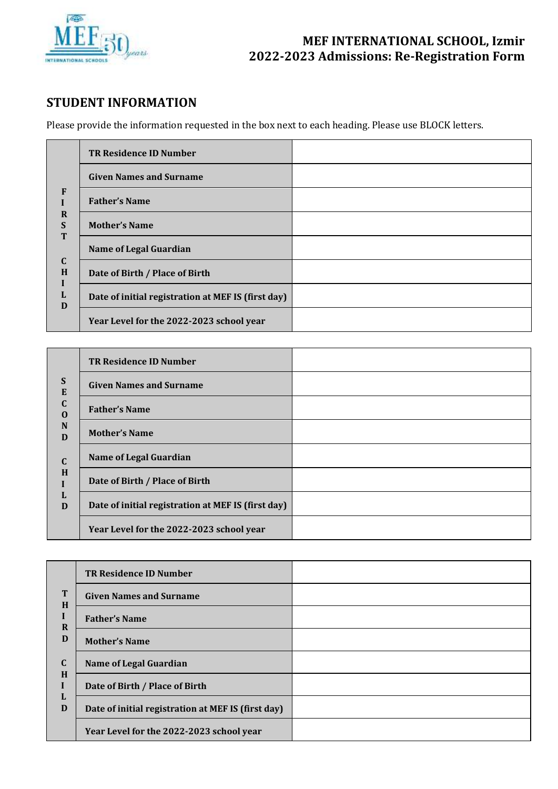

## **STUDENT INFORMATION**

Please provide the information requested in the box next to each heading. Please use BLOCK letters.

|                                 | <b>TR Residence ID Number</b>                      |  |
|---------------------------------|----------------------------------------------------|--|
| F                               | <b>Given Names and Surname</b>                     |  |
|                                 | <b>Father's Name</b>                               |  |
| $\mathbf R$<br>$\mathbf S$<br>T | <b>Mother's Name</b>                               |  |
|                                 | <b>Name of Legal Guardian</b>                      |  |
| $\mathbf C$<br>H                | Date of Birth / Place of Birth                     |  |
| L<br>D                          | Date of initial registration at MEF IS (first day) |  |
|                                 | Year Level for the 2022-2023 school year           |  |

|                         | <b>TR Residence ID Number</b>                      |  |
|-------------------------|----------------------------------------------------|--|
| S<br>E                  | <b>Given Names and Surname</b>                     |  |
| $\mathbf C$<br>$\Omega$ | <b>Father's Name</b>                               |  |
| N<br>D                  | <b>Mother's Name</b>                               |  |
| $\mathbf C$             | <b>Name of Legal Guardian</b>                      |  |
| H<br>D                  | Date of Birth / Place of Birth                     |  |
|                         | Date of initial registration at MEF IS (first day) |  |
|                         | Year Level for the 2022-2023 school year           |  |

|             | <b>TR Residence ID Number</b>                      |  |
|-------------|----------------------------------------------------|--|
| T<br>H      | <b>Given Names and Surname</b>                     |  |
| $\bf{R}$    | <b>Father's Name</b>                               |  |
| D           | <b>Mother's Name</b>                               |  |
| $\mathbf C$ | <b>Name of Legal Guardian</b>                      |  |
| H<br>L<br>D | Date of Birth / Place of Birth                     |  |
|             | Date of initial registration at MEF IS (first day) |  |
|             | Year Level for the 2022-2023 school year           |  |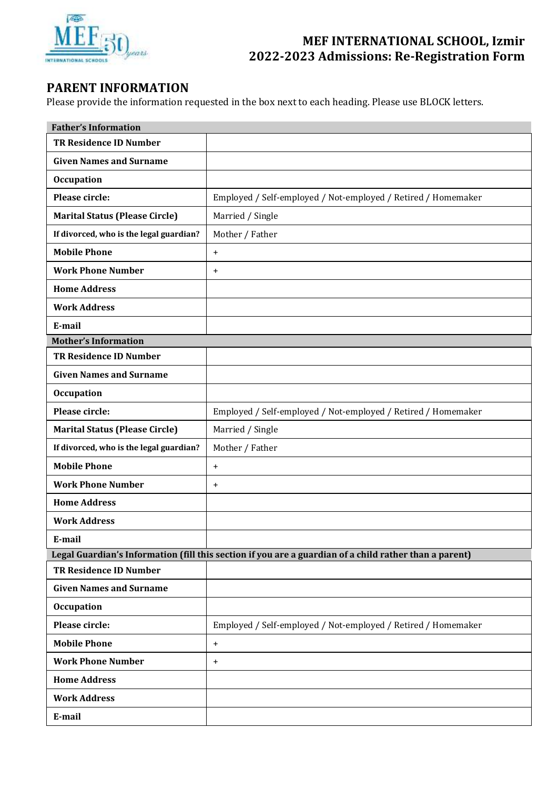

### **PARENT INFORMATION**

Please provide the information requested in the box next to each heading. Please use BLOCK letters.

| <b>Father's Information</b>             |                                                                                                        |  |
|-----------------------------------------|--------------------------------------------------------------------------------------------------------|--|
| <b>TR Residence ID Number</b>           |                                                                                                        |  |
| <b>Given Names and Surname</b>          |                                                                                                        |  |
| <b>Occupation</b>                       |                                                                                                        |  |
| Please circle:                          | Employed / Self-employed / Not-employed / Retired / Homemaker                                          |  |
| <b>Marital Status (Please Circle)</b>   | Married / Single                                                                                       |  |
| If divorced, who is the legal guardian? | Mother / Father                                                                                        |  |
| <b>Mobile Phone</b>                     | $\ddot{}$                                                                                              |  |
| <b>Work Phone Number</b>                | $\ddot{}$                                                                                              |  |
| <b>Home Address</b>                     |                                                                                                        |  |
| <b>Work Address</b>                     |                                                                                                        |  |
| E-mail                                  |                                                                                                        |  |
| <b>Mother's Information</b>             |                                                                                                        |  |
| <b>TR Residence ID Number</b>           |                                                                                                        |  |
| <b>Given Names and Surname</b>          |                                                                                                        |  |
| <b>Occupation</b>                       |                                                                                                        |  |
| Please circle:                          | Employed / Self-employed / Not-employed / Retired / Homemaker                                          |  |
| <b>Marital Status (Please Circle)</b>   | Married / Single                                                                                       |  |
| If divorced, who is the legal guardian? | Mother / Father                                                                                        |  |
| <b>Mobile Phone</b>                     | $\ddot{}$                                                                                              |  |
| <b>Work Phone Number</b>                | $\ddot{}$                                                                                              |  |
| <b>Home Address</b>                     |                                                                                                        |  |
| <b>Work Address</b>                     |                                                                                                        |  |
| E-mail                                  |                                                                                                        |  |
|                                         | Legal Guardian's Information (fill this section if you are a guardian of a child rather than a parent) |  |
| <b>TR Residence ID Number</b>           |                                                                                                        |  |
| <b>Given Names and Surname</b>          |                                                                                                        |  |
| <b>Occupation</b>                       |                                                                                                        |  |
| Please circle:                          | Employed / Self-employed / Not-employed / Retired / Homemaker                                          |  |
| <b>Mobile Phone</b>                     | $+$                                                                                                    |  |
| <b>Work Phone Number</b>                | $\ddot{}$                                                                                              |  |
| <b>Home Address</b>                     |                                                                                                        |  |
| <b>Work Address</b>                     |                                                                                                        |  |
| E-mail                                  |                                                                                                        |  |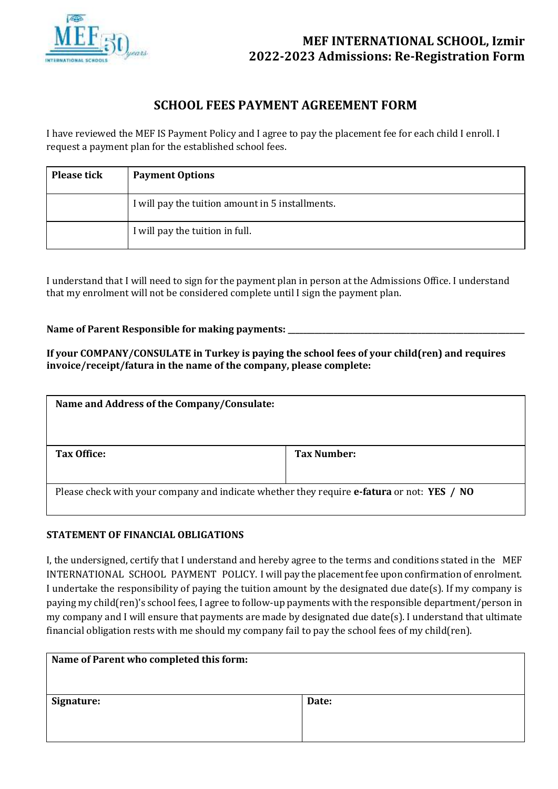

### **SCHOOL FEES PAYMENT AGREEMENT FORM**

I have reviewed the MEF IS Payment Policy and I agree to pay the placement fee for each child I enroll. I request a payment plan for the established school fees.

| <b>Please tick</b> | <b>Payment Options</b>                           |  |
|--------------------|--------------------------------------------------|--|
|                    | I will pay the tuition amount in 5 installments. |  |
|                    | I will pay the tuition in full.                  |  |

I understand that I will need to sign for the payment plan in person at the Admissions Office. I understand that my enrolment will not be considered complete until I sign the payment plan.

### Name of Parent Responsible for making payments: \_\_\_\_\_\_\_\_\_\_\_\_\_\_\_\_\_\_\_\_\_\_\_\_\_\_\_\_\_\_\_\_\_\_

**If your COMPANY/CONSULATE in Turkey is paying the school fees of your child(ren) and requires invoice/receipt/fatura in the name of the company, please complete:**

| Name and Address of the Company/Consulate:                                                                      |             |  |
|-----------------------------------------------------------------------------------------------------------------|-------------|--|
| Tax Office:                                                                                                     | Tax Number: |  |
| Please check with your company and indicate whether they require <b>e-fatura</b> or not: <b>YES</b> / <b>NO</b> |             |  |

### **STATEMENT OF FINANCIAL OBLIGATIONS**

I, the undersigned, certify that I understand and hereby agree to the terms and conditions stated in the MEF INTERNATIONAL SCHOOL PAYMENT POLICY. I will pay the placement fee upon confirmation of enrolment. I undertake the responsibility of paying the tuition amount by the designated due date(s). If my company is paying my child(ren)'s school fees, I agree to follow-up payments with the responsible department/person in my company and I will ensure that payments are made by designated due date(s). I understand that ultimate financial obligation rests with me should my company fail to pay the school fees of my child(ren).

| Name of Parent who completed this form: |       |
|-----------------------------------------|-------|
| Signature:                              | Date: |